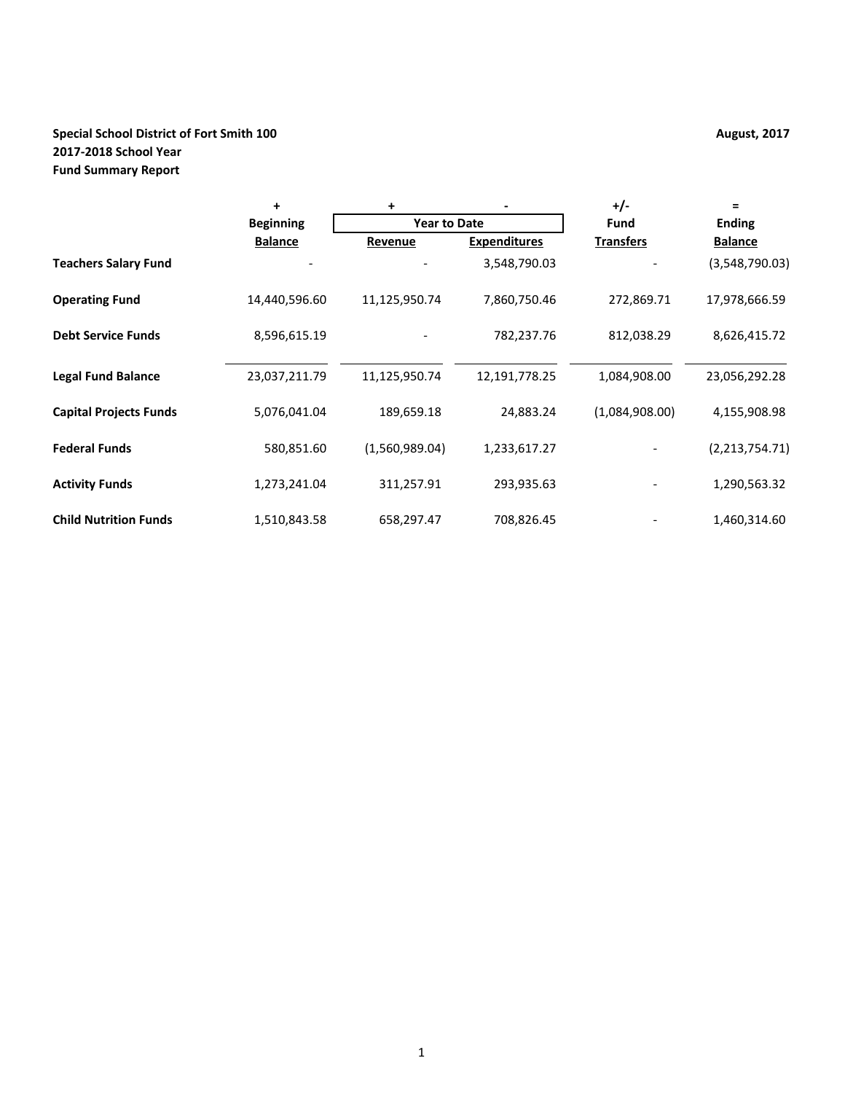# **Special School District of Fort Smith 100 August, 2017 August, 2017 2017-2018 School Year Fund Summary Report**

|                               | $\ddot{}$        | +                   |                     | $+/-$            | $=$            |  |
|-------------------------------|------------------|---------------------|---------------------|------------------|----------------|--|
|                               | <b>Beginning</b> | <b>Year to Date</b> |                     | <b>Fund</b>      | <b>Ending</b>  |  |
|                               | <b>Balance</b>   | Revenue             | <b>Expenditures</b> | <b>Transfers</b> | <b>Balance</b> |  |
| <b>Teachers Salary Fund</b>   |                  |                     | 3,548,790.03        |                  | (3,548,790.03) |  |
| <b>Operating Fund</b>         | 14,440,596.60    | 11,125,950.74       | 7,860,750.46        | 272,869.71       | 17,978,666.59  |  |
| <b>Debt Service Funds</b>     | 8,596,615.19     |                     | 782,237.76          | 812,038.29       | 8,626,415.72   |  |
| <b>Legal Fund Balance</b>     | 23,037,211.79    | 11,125,950.74       | 12,191,778.25       | 1,084,908.00     | 23,056,292.28  |  |
| <b>Capital Projects Funds</b> | 5,076,041.04     | 189,659.18          | 24,883.24           | (1,084,908.00)   | 4,155,908.98   |  |
| <b>Federal Funds</b>          | 580,851.60       | (1,560,989.04)      | 1,233,617.27        |                  | (2,213,754.71) |  |
| <b>Activity Funds</b>         | 1,273,241.04     | 311,257.91          | 293,935.63          |                  | 1,290,563.32   |  |
| <b>Child Nutrition Funds</b>  | 1,510,843.58     | 658,297.47          | 708,826.45          |                  | 1,460,314.60   |  |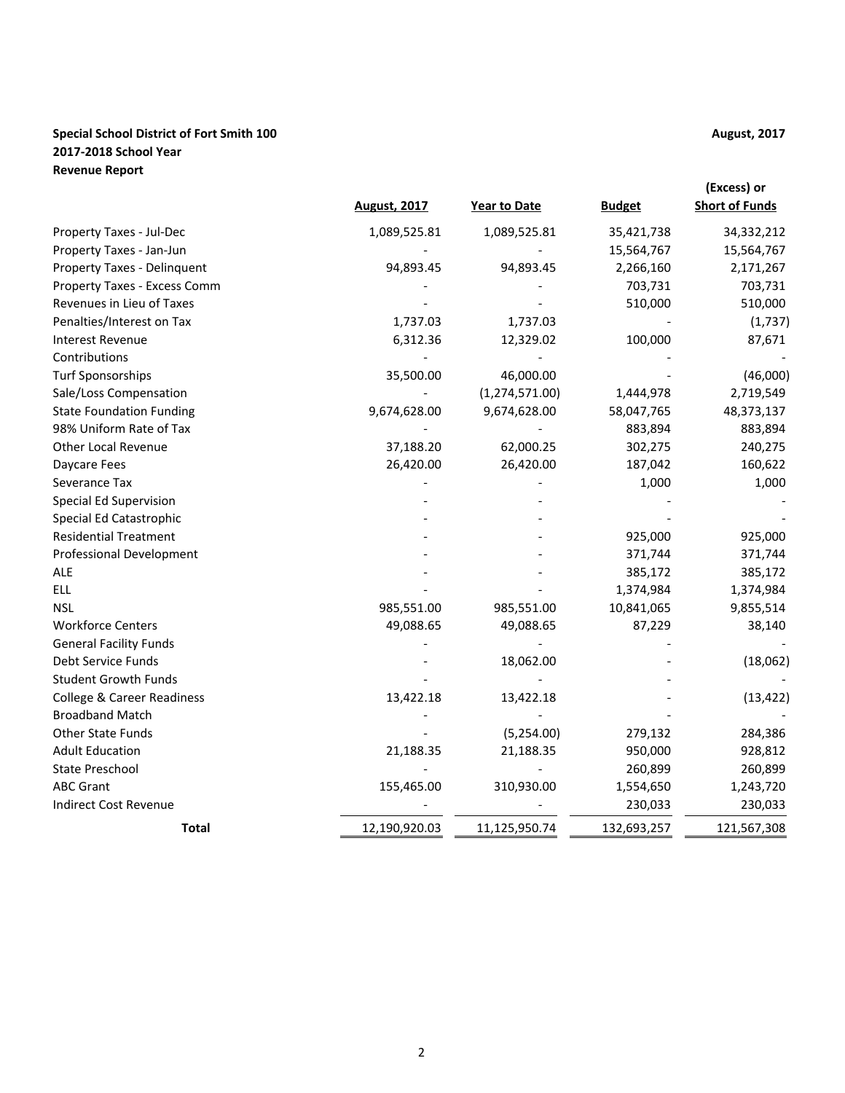# **Special School District of Fort Smith 100 August, 2017 August, 2017 2017-2018 School Year Revenue Report**

|                                 | <b>August, 2017</b> | <b>Year to Date</b> | <b>Budget</b> | (Excess) or<br><b>Short of Funds</b> |
|---------------------------------|---------------------|---------------------|---------------|--------------------------------------|
| Property Taxes - Jul-Dec        | 1,089,525.81        | 1,089,525.81        | 35,421,738    | 34,332,212                           |
| Property Taxes - Jan-Jun        |                     |                     | 15,564,767    | 15,564,767                           |
| Property Taxes - Delinquent     | 94,893.45           | 94,893.45           | 2,266,160     | 2,171,267                            |
| Property Taxes - Excess Comm    |                     |                     | 703,731       | 703,731                              |
| Revenues in Lieu of Taxes       |                     |                     | 510,000       | 510,000                              |
| Penalties/Interest on Tax       | 1,737.03            | 1,737.03            |               | (1,737)                              |
| <b>Interest Revenue</b>         | 6,312.36            | 12,329.02           | 100,000       | 87,671                               |
| Contributions                   |                     |                     |               |                                      |
| <b>Turf Sponsorships</b>        | 35,500.00           | 46,000.00           |               | (46,000)                             |
| Sale/Loss Compensation          |                     | (1, 274, 571.00)    | 1,444,978     | 2,719,549                            |
| <b>State Foundation Funding</b> | 9,674,628.00        | 9,674,628.00        | 58,047,765    | 48,373,137                           |
| 98% Uniform Rate of Tax         |                     |                     | 883,894       | 883,894                              |
| <b>Other Local Revenue</b>      | 37,188.20           | 62,000.25           | 302,275       | 240,275                              |
| Daycare Fees                    | 26,420.00           | 26,420.00           | 187,042       | 160,622                              |
| Severance Tax                   |                     |                     | 1,000         | 1,000                                |
| Special Ed Supervision          |                     |                     |               |                                      |
| Special Ed Catastrophic         |                     |                     |               |                                      |
| <b>Residential Treatment</b>    |                     |                     | 925,000       | 925,000                              |
| <b>Professional Development</b> |                     |                     | 371,744       | 371,744                              |
| <b>ALE</b>                      |                     |                     | 385,172       | 385,172                              |
| <b>ELL</b>                      |                     |                     | 1,374,984     | 1,374,984                            |
| <b>NSL</b>                      | 985,551.00          | 985,551.00          | 10,841,065    | 9,855,514                            |
| <b>Workforce Centers</b>        | 49,088.65           | 49,088.65           | 87,229        | 38,140                               |
| <b>General Facility Funds</b>   |                     |                     |               |                                      |
| Debt Service Funds              |                     | 18,062.00           |               | (18,062)                             |
| <b>Student Growth Funds</b>     |                     |                     |               |                                      |
| College & Career Readiness      | 13,422.18           | 13,422.18           |               | (13, 422)                            |
| <b>Broadband Match</b>          |                     |                     |               |                                      |
| <b>Other State Funds</b>        |                     | (5,254.00)          | 279,132       | 284,386                              |
| <b>Adult Education</b>          | 21,188.35           | 21,188.35           | 950,000       | 928,812                              |
| <b>State Preschool</b>          |                     |                     | 260,899       | 260,899                              |
| <b>ABC Grant</b>                | 155,465.00          | 310,930.00          | 1,554,650     | 1,243,720                            |
| <b>Indirect Cost Revenue</b>    |                     |                     | 230,033       | 230,033                              |
| Total                           | 12,190,920.03       | 11,125,950.74       | 132,693,257   | 121,567,308                          |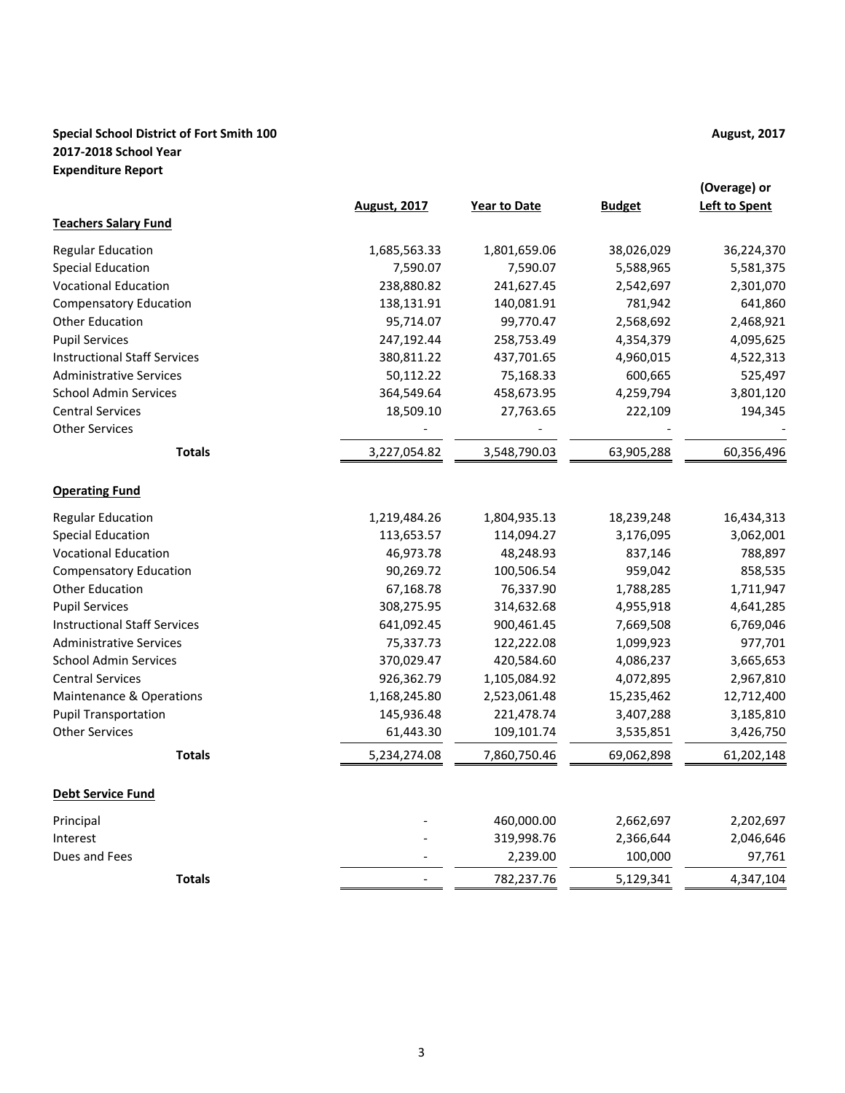# **Special School District of Fort Smith 100 August, 2017 August, 2017 2017-2018 School Year Expenditure Report**

|                                     | <b>August, 2017</b> | <b>Year to Date</b> | <b>Budget</b> | (Overage) or<br><b>Left to Spent</b> |
|-------------------------------------|---------------------|---------------------|---------------|--------------------------------------|
| <b>Teachers Salary Fund</b>         |                     |                     |               |                                      |
| <b>Regular Education</b>            | 1,685,563.33        | 1,801,659.06        | 38,026,029    | 36,224,370                           |
| <b>Special Education</b>            | 7,590.07            | 7,590.07            | 5,588,965     | 5,581,375                            |
| <b>Vocational Education</b>         | 238,880.82          | 241,627.45          | 2,542,697     | 2,301,070                            |
| <b>Compensatory Education</b>       | 138,131.91          | 140,081.91          | 781,942       | 641,860                              |
| <b>Other Education</b>              | 95,714.07           | 99,770.47           | 2,568,692     | 2,468,921                            |
| <b>Pupil Services</b>               | 247,192.44          | 258,753.49          | 4,354,379     | 4,095,625                            |
| <b>Instructional Staff Services</b> | 380,811.22          | 437,701.65          | 4,960,015     | 4,522,313                            |
| <b>Administrative Services</b>      | 50,112.22           | 75,168.33           | 600,665       | 525,497                              |
| <b>School Admin Services</b>        | 364,549.64          | 458,673.95          | 4,259,794     | 3,801,120                            |
| <b>Central Services</b>             | 18,509.10           | 27,763.65           | 222,109       | 194,345                              |
| <b>Other Services</b>               |                     |                     |               |                                      |
| <b>Totals</b>                       | 3,227,054.82        | 3,548,790.03        | 63,905,288    | 60,356,496                           |
| <b>Operating Fund</b>               |                     |                     |               |                                      |
| <b>Regular Education</b>            | 1,219,484.26        | 1,804,935.13        | 18,239,248    | 16,434,313                           |
| <b>Special Education</b>            | 113,653.57          | 114,094.27          | 3,176,095     | 3,062,001                            |
| <b>Vocational Education</b>         | 46,973.78           | 48,248.93           | 837,146       | 788,897                              |
| <b>Compensatory Education</b>       | 90,269.72           | 100,506.54          | 959,042       | 858,535                              |
| <b>Other Education</b>              | 67,168.78           | 76,337.90           | 1,788,285     | 1,711,947                            |
| <b>Pupil Services</b>               | 308,275.95          | 314,632.68          | 4,955,918     | 4,641,285                            |
| <b>Instructional Staff Services</b> | 641,092.45          | 900,461.45          | 7,669,508     | 6,769,046                            |
| <b>Administrative Services</b>      | 75,337.73           | 122,222.08          | 1,099,923     | 977,701                              |
| <b>School Admin Services</b>        | 370,029.47          | 420,584.60          | 4,086,237     | 3,665,653                            |
| <b>Central Services</b>             | 926,362.79          | 1,105,084.92        | 4,072,895     | 2,967,810                            |
| Maintenance & Operations            | 1,168,245.80        | 2,523,061.48        | 15,235,462    | 12,712,400                           |
| <b>Pupil Transportation</b>         | 145,936.48          | 221,478.74          | 3,407,288     | 3,185,810                            |
| <b>Other Services</b>               | 61,443.30           | 109,101.74          | 3,535,851     | 3,426,750                            |
| <b>Totals</b>                       | 5,234,274.08        | 7,860,750.46        | 69,062,898    | 61,202,148                           |
| <b>Debt Service Fund</b>            |                     |                     |               |                                      |
| Principal                           |                     | 460,000.00          | 2,662,697     | 2,202,697                            |
| Interest                            |                     | 319,998.76          | 2,366,644     | 2,046,646                            |
| Dues and Fees                       |                     | 2,239.00            | 100,000       | 97,761                               |
| <b>Totals</b>                       |                     | 782,237.76          | 5,129,341     | 4,347,104                            |
|                                     |                     |                     |               |                                      |